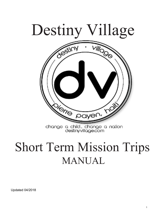

# Short Term Mission Trips MANUAL

Updated 04/2018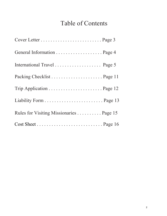## Table of Contents

| International Travel Page 5             |
|-----------------------------------------|
|                                         |
|                                         |
|                                         |
| Rules for Visiting Missionaries Page 15 |
|                                         |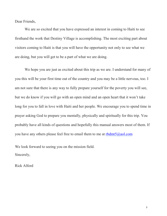Dear Friends,

We are so excited that you have expressed an interest in coming to Haiti to see firsthand the work that Destiny Village is accomplishing. The most exciting part about visitors coming to Haiti is that you will have the opportunity not only to see what we are doing, but you will get to be a part of what we are doing.

We hope you are just as excited about this trip as we are. I understand for many of you this will be your first time out of the country and you may be a little nervous, too. I am not sure that there is any way to fully prepare yourself for the poverty you will see, but we do know if you will go with an open mind and an open heart that it won't take long for you to fall in love with Haiti and her people. We encourage you to spend time in prayer asking God to prepare you mentally, physically and spiritually for this trip. You probably have all kinds of questions and hopefully this manual answers most of them. If you have any others please feel free to email them to me at  $rbdmt5@aol.com$ 

 We look forward to seeing you on the mission field. Sincerely,

Rick Alford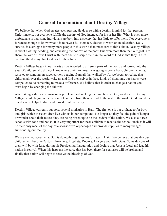### **General Information about Destiny Village**

We believe that when God creates each person, He does so with a destiny in mind for that person. Unfortunately, not everyone fulfills the destiny of God intended for his or her life. What is even more unfortunate is that some individuals are born into a society that has little to offer them. Not everyone is fortunate enough to know what it is to have a full stomach, clothes to wear, or an education. Daily survival is a struggle for many more people in this world than most care to think about. Destiny Village is about clothing, feeding, and educating the poorest of the poor. But even more than that, our goal is to share the love of Jesus Christ with them and to disciple them in the Word of God so that they in turn can find the destiny that God has for their lives.

Destiny Village began in our hearts as we traveled to different parts of the world and looked into the eyes of children who did not know where their next meal was going to come from, children who had resorted to standing on street corners begging from all that walked by. As we began to realize that children all over the world wake up and find themselves in these kinds of situations, our hearts were compelled to do something to make a difference. We believe that in order to change a nation you must begin by changing the children.

After taking a short-term mission trip to Haiti and seeking the direction of God, we decided Destiny Village would begin in the nation of Haiti and from there spread to the rest of the world. God has taken our desire to help children and turned it into a reality.

Destiny Village currently supports several ministries in Haiti. The first one is our orphanage for boys and girls which these children live with us in our compound. No longer do they feel the pain of hunger or wonder about their future, they are being raised up to be the leaders of the nation. We also aid two schools with food and books. It is very important for these children to receive the school lunch as it will be their only meal of the day. We sponsor two orphanages and provide supplies to many villages surrounding our facility.

We are excited about what God is doing through Destiny Village in Haiti. We believe that one day our children will become Pastors, Preachers, Prophets, Doctors, Lawyers and Politicians. Some day one of them will bow his knee during his Presidential Inauguration and declare that Jesus is Lord and lead his nation in revival. When this happens the curse that has been there for centuries will be broken and finally that nation will begin to receive the blessings of God.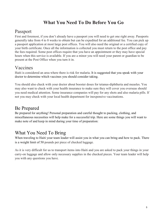### **What You Need To Do Before You Go**

### Passport

First and foremost, if you don't already have a passport you will need to get one right away. Passports generally take from 4 to 8 weeks to obtain but can be expedited for an additional fee. You can pick up a passport application at most large post offices. You will also need the original or a certified copy of your birth certificate. Once all the information is collected you must return to the post office and pay the fees required. Some post offices require that you have an appointment or they may have special hours when this service is available. If you are a minor you will need your parent or guardian to be present at the Post Office when you turn it in.

### Vaccines

Haiti is considered an area where there is risk for malaria. It is suggested that you speak with your doctor to determine which vaccines you should consider taking.

You should also check with your doctor about booster doses for tetanus-diphtheria and measles. You may also want to check with your health insurance to make sure they will cover you overseas should you need medical attention. Some insurance companies will pay for any shots and also malaria pills. If not you may check with your local health department for inexpensive vaccinations.

### Be Prepared

Be prepared for anything! Personal preparation and careful thought to packing, clothing, and miscellaneous necessities will help make for a successful trip. Here are some things you will want to make note of and keep in mind during your time of preparation:

### What You Need To Bring

When traveling to Haiti your team leader will assist you in what you can bring and how to pack. There is a weight limit of 50 pounds per piece of checked luggage.

As it is very difficult for us to transport items into Haiti and you are asked to pack your things in your carry-on luggage and allow only necessary supplies in the checked pieces. Your team leader will help you with any questions you have.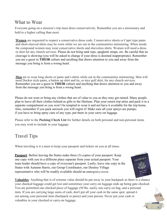### What to Wear

Everyone going on a mission's trip must dress conservatively. Remember you are a missionary and held to a higher calling than most.

**Women** are requested to respect a conservative dress code. Conservative shorts or Capri type pants and short-sleeved shirts may be worn while we are out in the communities ministering. When inside the compound women may wear conservative shorts and sleeveless shirts. Women will need a dress or skirt for any church services. Please do not bring tank tops, spaghetti straps, etc. Be careful that no cleavage is showing (you will be asked to change if your dress is deemed inappropriate). Remember you are a guest in **THEIR** culture and anything that draws attention to you and away from the message you bring is from a wrong heart.

**Men** are to wear long shorts or pants and t-shirts while out in the communities ministering. Men will need Docker style pants, a button up shirt and tie, or nice golf shirt, for any church services. Remember you are a guest in **THEIR** culture and anything that draws attention to you and away from the message you bring is from a wrong heart.

Please do not wear or bring any clothes that are of value to you as they may get ruined. Many people plan to leave all their clothes behind as gifts to the Haitians. Plan your return trip attire and pack it in a separate compartment so you won't be tempted to wear it and not have it available for the trip home. Also, remember if you pack aerosols you will regret it! Make sure all your sprays are pumps; if you have to bring spray cans of any type, put them in your carry-on luggage.

Please refer to the **Packing Check List** for further details on both personal and non-personal items you may wish to include in your luggage.

### Travel Tips

When traveling is it a must to keep your passport and tickets on you at all times.

**Passport:** Before leaving the States make three (3) copies of your passport. Keep one copy with you in a different place separate from your actual passport. Your team leader should have a copy of everyone's passport. Lastly, leave one copy in the States with Autumn Harris, our Group Coordinator, our Destiny Village representative who will be readily available should an emergencyoccur.





6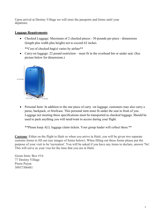Upon arrival at Destiny Village we will store the passports and forms until your departure.

#### **Luggage Requirements**:

• Checked Luggage: Maximum of 2 checked pieces - 50 pounds per piece - dimensions (length plus width plus height) not to exceed 62 inches.

\*\*Cost of checked bag(s) varies by airline\*\*

• Carry-on luggage: 22 pound restriction – must fit in the overhead bin or under seat. (See picture below for dimensions.)



• Personal Item: In addition to the one piece of carry -on luggage, customers may also carry a purse, backpack, or briefcase. This personal item must fit under the seat in front of you. Luggage not meeting these specifications must be transported as checked luggage. Should be used to pack anything you will need/want to access during your flight.

\*\*Please keep ALL luggage claim tickets. Your group leader will collect these.\*\*

**Customs**: Either on the flight to Haiti or when you arrive in Haiti, you will be given two separate customs forms to fill out (see images of forms below). When filling out these forms please put the purpose of your visit to be 'recreation'. You will be asked if you have any items to declare, answer 'No'. This will serve as your visa for the time that you are in Haiti.

Green form: Box #14: 77 Destiny Village Pierre Payen 50937306481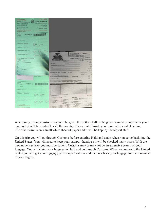

After going through customs you will be given the bottom half of the green form to be kept with your passport, it will be needed to exit the country. Please put it inside your passport for safe keeping. The other form is on a small white sheet of paper and it will be kept by the airport staff.

On this trip you will go through Customs, before entering Haiti and again when you come back into the United States. You will need to keep your passport handy as it will be checked many times. With the new travel security you must be patient. Customs may or may not do an extensive search of your luggage. You will claim your luggage in Haiti and go through Customs. When you return to the United States you will get your luggage, go through Customs and then re-check your luggage for the remainder of your flights.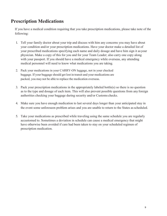### **Prescription Medications**

If you have a medical condition requiring that you take prescription medications, please take note of the following:

- 1. Tell your family doctor about your trip and discuss with him any concerns you may have about your condition and/or your prescription medications. Have your doctor make a detailed list of your prescribed medications specifying each name and daily dosage and have him sign it asyour physician. Make a copy of this for you and for your Team Leader; also carry one copy along with your passport. If you should have a medical emergency while overseas, any attending medical personnel will need to know what medications you are taking.
- 2. Pack your medications in your CARRY-ON luggage, not in your checked baggage. If your baggage should get lost in transit and your medications are packed, you may not be able to replace the medication overseas.
- 3. Pack your prescription medications in the appropriately labeled bottle(s) so there is no question as to the type and dosage of each item. This will also prevent possible questions from any foreign authorities checking your baggage during security and/or Customs checks.
- 4. Make sure you have enough medication to last several days longer than your anticipated stay in the event some unforeseen problem arises and you are unable to return to the States asscheduled.
- 5. Take your medications as prescribed while traveling using the same schedule you are regularly accustomed to. Sometimes a deviation in schedule can cause a medical emergency that might have otherwise been avoided if care had been taken to stay on your scheduled regimen of prescription medication.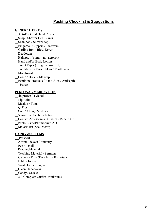#### **Packing Checklist & Suggestions**

#### **GENERAL ITEMS**

 Anti-Bacterial Hand Cleaner Soap / Shower Gel / Razor Shampoo / Shower cap Fingernail Clippers / Tweezers Curling Iron / Blow Dryer Deodorant Hairspray (pump - not aerosol) Hand and/or Body Lotion Toilet Paper (1 regular size roll) Toothbrush / Paste / Floss / Toothpicks \_Mouthwash Comb / Brush / Makeup Feminine Products / Band-Aids / Antiseptic Tissues

#### **PERSONAL MEDICATION**

- Ibuprofen / Tylenol
- Lip Balm
- Maalox / Tums
- Q-Tips
- Cold / Allergy Medicine
- Sunscreen / Sunburn Lotion
- Contact Accessories / Glasses / Repair Kit
- Pepto Bismol/Immodium AD
- Malaria Rx (See Doctor)

#### **CARRY-ON ITEMS**

- Passport Airline Tickets / Itinerary Pen / Pencil \_Reading Material Teaching Material / Sermons Camera / Film (Pack Extra Batteries) Bible / Journal Washcloth in Baggie Clean Underwear Candy / Snacks
- 2-3 Complete Outfits (minimum)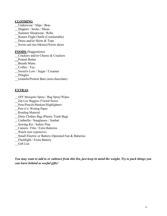#### **CLOTHING**

- Underwear / Slips / Bras
- Slippers / Socks / Shoes
- Summer Sleepwear / Robe
- Return Flight Outfit (Comfortable)
- Dress and/or Skirts & Tops
- Swim suit (no bikinis)/Swim shoes

#### **FOODS** (Suggestions)

- Crackers and/or Cheese & Crackers
- Peanut Butter
- Breath Mints
- Coffee / Tea
- Sweet'n Low / Sugar / Creamer

Pringles

Granola/Protein Bars (non-chocolate)

#### **EXTRAS**

- OFF Mosquito Spray / Bug Spray/Wipes
- Zip-Loc Baggies (Varied Sizes)
- Pens/Pencils/Markers/Highlighters
- Post it's/ Writing Paper
- Reading Material
- Dirty Clothes Bag (Plastic Trash Bag)
- Umbrella / Sunglasses / Sunhat
- Sewing Kit / Safety Pins
- Camera / Film / Extra Batteries
- Watch (not expensive)
- Small Electric or Battery-Operated Fan & Batteries
- Flashlight / Extra Battery
- Gift List

*You may want to add to or subtract from this list, just keep in mind the weight. Try to pack things you can leave behind as useful gifts!*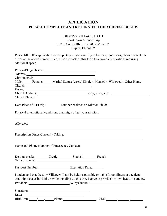### **APPLICATION PLEASE COMPLETE AND RETURN TO THE ADDRESS BELOW**

#### DESTINY VILLAGE, HAITI Short Term Mission Trip 15275 Collier Blvd. Ste 201-PMB#132 Naples, FL 34119

Please fill in this application as completely as you can. If you have any questions, please contact our office at the above number. Please use the back of this form to answer any questions requiring additional space.

|                                                                                                                                                                                                                                                                                                                                                                                                     | Male: Female: Marital Status: (circle) Single ~ Married ~ Widowed ~ Other Home                                                                                                                                                                                                                                                                                                                                                                                                                                                                                                                                                   |
|-----------------------------------------------------------------------------------------------------------------------------------------------------------------------------------------------------------------------------------------------------------------------------------------------------------------------------------------------------------------------------------------------------|----------------------------------------------------------------------------------------------------------------------------------------------------------------------------------------------------------------------------------------------------------------------------------------------------------------------------------------------------------------------------------------------------------------------------------------------------------------------------------------------------------------------------------------------------------------------------------------------------------------------------------|
|                                                                                                                                                                                                                                                                                                                                                                                                     |                                                                                                                                                                                                                                                                                                                                                                                                                                                                                                                                                                                                                                  |
|                                                                                                                                                                                                                                                                                                                                                                                                     |                                                                                                                                                                                                                                                                                                                                                                                                                                                                                                                                                                                                                                  |
|                                                                                                                                                                                                                                                                                                                                                                                                     | Church Address: Church Address: City, State, Zip: 2008.                                                                                                                                                                                                                                                                                                                                                                                                                                                                                                                                                                          |
|                                                                                                                                                                                                                                                                                                                                                                                                     |                                                                                                                                                                                                                                                                                                                                                                                                                                                                                                                                                                                                                                  |
| Date/Place of Last trip:____________Number of times on Mission Field: _____                                                                                                                                                                                                                                                                                                                         |                                                                                                                                                                                                                                                                                                                                                                                                                                                                                                                                                                                                                                  |
| Physical or emotional conditions that might affect your mission:                                                                                                                                                                                                                                                                                                                                    |                                                                                                                                                                                                                                                                                                                                                                                                                                                                                                                                                                                                                                  |
| Allergies:                                                                                                                                                                                                                                                                                                                                                                                          |                                                                                                                                                                                                                                                                                                                                                                                                                                                                                                                                                                                                                                  |
| Prescription Drugs Currently Taking:                                                                                                                                                                                                                                                                                                                                                                | ,我们也不会有什么。""我们的人,我们也不会有什么?""我们的人,我们也不会有什么?""我们的人,我们也不会有什么?""我们的人,我们也不会有什么?""我们的人                                                                                                                                                                                                                                                                                                                                                                                                                                                                                                                                                 |
| Name and Phone Number of Emergency Contact:                                                                                                                                                                                                                                                                                                                                                         |                                                                                                                                                                                                                                                                                                                                                                                                                                                                                                                                                                                                                                  |
|                                                                                                                                                                                                                                                                                                                                                                                                     |                                                                                                                                                                                                                                                                                                                                                                                                                                                                                                                                                                                                                                  |
|                                                                                                                                                                                                                                                                                                                                                                                                     |                                                                                                                                                                                                                                                                                                                                                                                                                                                                                                                                                                                                                                  |
| Passport Number: Expiration Date: _____                                                                                                                                                                                                                                                                                                                                                             |                                                                                                                                                                                                                                                                                                                                                                                                                                                                                                                                                                                                                                  |
|                                                                                                                                                                                                                                                                                                                                                                                                     | I understand that Destiny Village will not be held responsible or liable for an illness or accident                                                                                                                                                                                                                                                                                                                                                                                                                                                                                                                              |
|                                                                                                                                                                                                                                                                                                                                                                                                     | that might occur in Haiti or while traveling on this trip. I agree to provide my own health insurance.                                                                                                                                                                                                                                                                                                                                                                                                                                                                                                                           |
|                                                                                                                                                                                                                                                                                                                                                                                                     | Provider: Policy Number:                                                                                                                                                                                                                                                                                                                                                                                                                                                                                                                                                                                                         |
|                                                                                                                                                                                                                                                                                                                                                                                                     |                                                                                                                                                                                                                                                                                                                                                                                                                                                                                                                                                                                                                                  |
| Date: $\frac{1}{\sqrt{1-\frac{1}{2}}}\left\{ \frac{1}{2} + \frac{1}{2} + \frac{1}{2} + \frac{1}{2} + \frac{1}{2} + \frac{1}{2} + \frac{1}{2} + \frac{1}{2} + \frac{1}{2} + \frac{1}{2} + \frac{1}{2} + \frac{1}{2} + \frac{1}{2} + \frac{1}{2} + \frac{1}{2} + \frac{1}{2} + \frac{1}{2} + \frac{1}{2} + \frac{1}{2} + \frac{1}{2} + \frac{1}{2} + \frac{1}{2} + \frac{1}{2} + \frac{1}{2} + \frac$ |                                                                                                                                                                                                                                                                                                                                                                                                                                                                                                                                                                                                                                  |
| Birth Date: 1. 1. Phone: Phone:                                                                                                                                                                                                                                                                                                                                                                     | $SSN: \underline{\hspace{2cm}} \underline{\hspace{2cm}} \underline{\hspace{2cm}} \underline{\hspace{2cm}} \underline{\hspace{2cm}} \underline{\hspace{2cm}} \underline{\hspace{2cm}} \underline{\hspace{2cm}} \underline{\hspace{2cm}} \underline{\hspace{2cm}} \underline{\hspace{2cm}} \underline{\hspace{2cm}} \underline{\hspace{2cm}} \underline{\hspace{2cm}} \underline{\hspace{2cm}} \underline{\hspace{2cm}} \underline{\hspace{2cm}} \underline{\hspace{2cm}} \underline{\hspace{2cm}} \underline{\hspace{2cm}} \underline{\hspace{2cm}} \underline{\hspace{2cm}} \underline{\hspace{2cm}} \underline{\hspace{2cm}} \$ |
|                                                                                                                                                                                                                                                                                                                                                                                                     |                                                                                                                                                                                                                                                                                                                                                                                                                                                                                                                                                                                                                                  |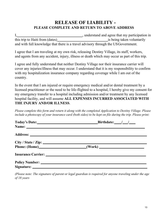### **RELEASE OF LIABILITY - PLEASE COMPLETE AND RETURN TO ABOVE ADDRESS**

I,  $\frac{1}{2}$  , understand and agree that my participation in this trip to Haiti from (dates) is being taken voluntarily and with full knowledge that there is a travel advisory through the USGovernment.

I agree that I am traveling at my own risk, releasing Destiny Village, its staff, workers, and agents from any accident, injury, illness or death which may occur as part of this trip.

I agree and fully understand that neither Destiny Village nor their insurance carrier will cover any injuries/illness that may occur. I understand that it is my responsibility to confirm with my hospitalization insurance company regarding coverage while I am out of the country.

In the event that I am injured or require emergency medical and/or dental treatment by a licensed practitioner or the need to be life-flighted to a hospital, I hereby give my consent for my emergency transfer to a hospital including admission and/or treatment by any licensed hospital facility, and will assume **ALL EXPENSES INCURRED ASSOCIATED WITH THE INJURY AND/OR ILLNESS**.

*Please complete this form and return it along with the completed Application to Destiny Village. Please include a photocopy of your insurance card (both sides) to be kept on file during the trip. Please print:*

| Today's Date: <u>contract and the set of the set of the set of the set of the set of the set of the set of the set of the set of the set of the set of the set of the set of the set of the set of the set of the set of the set</u> | Birthdate: $\angle$  |
|--------------------------------------------------------------------------------------------------------------------------------------------------------------------------------------------------------------------------------------|----------------------|
|                                                                                                                                                                                                                                      |                      |
|                                                                                                                                                                                                                                      |                      |
|                                                                                                                                                                                                                                      |                      |
|                                                                                                                                                                                                                                      | Phone: (Home) (Work) |
|                                                                                                                                                                                                                                      |                      |
|                                                                                                                                                                                                                                      |                      |
|                                                                                                                                                                                                                                      |                      |

*(Please note: The signature of parent or legal guardian is required for anyone traveling under the age of 18 years*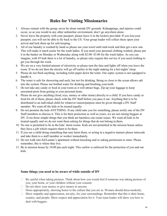### **Rules for Visiting Missionaries**

- 1. Always remain with the group, never be alone outside DV grounds. Kidnappings, and injuries could occur, so as you would in any other unfamiliar environment, don't go anywhere alone.
- 2. Never leave the property with your passport, please leave it in the lockers provided. If you loseyour passport, you will not be able to fly back to the US. Your group leader will collect these upon your arrival and lock them up for safe keeping.
- 3. All of our laundry is washed by hand so please use your towel until mid-week and then get a new one. This will make it much easier for the wash ladies. If you need your personal clothing washed, please put it in the basket on Monday or Wednesday along with \$2.00- \$3.00 for the wash ladies. As you can imagine, with 45 kids there is a lot of laundry, so please only request this service if you need clothing to get you through the week.
- 4. We are on a very limited amount of electricity so please turn the fans and lights off when you leave the room. If we do not then the electric will go off earlier in the night making for a hot nights'sleep.
- 5. Please do not flush anything, including toilet paper down the toilet. Our septic system is not equipped to handle it.
- 6. The water is safe for showering and such, but not for drinking. Being so close to the ocean allows salt into the system. Please use bottled water for drinking and brushing your teeth.
- 7. Do not take any candy or food in your room as it will attract bugs. Zip up your luggage to keep unwanted pests from getting in your personal items.
- 8. Please do not give anything (food, toys, money or other items) directly to a child. If you have candy or food for all of them, please check with the DV Staff before you pass it out. Anything that is to be distributed to an individual child for whatever reason/purpose must be given through a DV Staff member. We want all the kids to be treated equally.
- 9. Do not promise the kids ANYTHING. If any child asks you for something, please notify one of the DV Staff members to discuss it. This is for their protection as well as yours, we are not raising beggars at DV. Even those simple things that you think are harmless can create issues. We want all kids to be treated equally and we do not want them asking for things that do not belong to them.
- 10. No one is permitted to be in the kids' dorm rooms. Kids are not permitted in the mission house unless they have a job which requires them to be there.
- 11. If you see a child doing something that may harm them, or acting in a negative manner please intercede and take them to a staff member or worker immediately.
- 12. Do not walk into Ed/Leanne's apartment without knocking and or asking permission to enter. Please remember, this is where they live.
- 13. Be in mission house by 10:00 pm each night. This curfew is enforced for the protection of you and our kids.

#### **Some things you need to be aware of while outside of DV**

- $\Box$  Be careful when taking pictures. Think about how you would feel if someone was taking pictures of you, your home, or your children without your consent.
- □ Do not show your money or give money to anyone.
- □ Dress appropriately, showing honor to the culture that you are in. Women should dress modestly.
- $\Box$  Show empathy and appreciation, not pity, for your surroundings. Remember that this is their home, country, and people. Show respect and appreciation for it. Your team leader will show you how to deal with beggars.